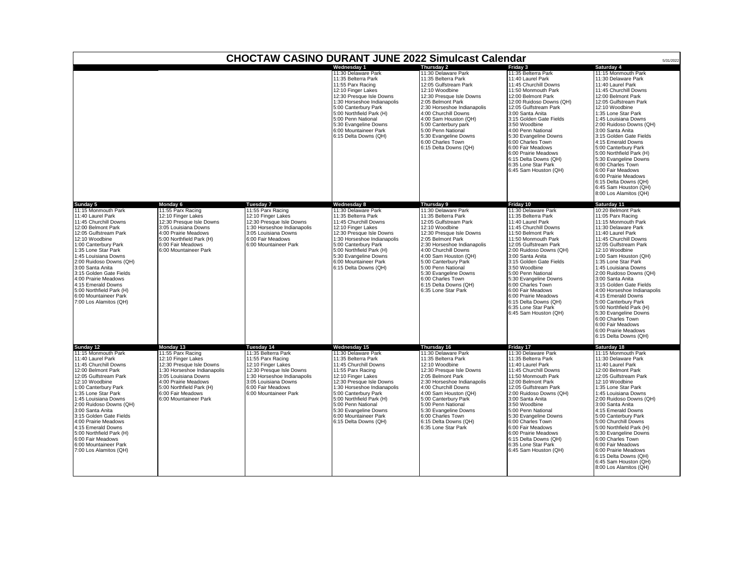|                                                                                                                                                                                                                                                                                                                                                                                                                                       |                                                                                                                                                                                                                              |                                                                                                                                                                                                 | Wednesdav 1                                                                                                                                                                                                                                                                                                                    | Thursday 2                                                                                                                                                                                                                                                                                                                                                         | Friday 3                                                                                                                                                                                                                                                                                                                                                                                                                                            | Saturday 4                                                                                                                                                                                                                                                                                                                                                                                                                                                                                                                                                    |
|---------------------------------------------------------------------------------------------------------------------------------------------------------------------------------------------------------------------------------------------------------------------------------------------------------------------------------------------------------------------------------------------------------------------------------------|------------------------------------------------------------------------------------------------------------------------------------------------------------------------------------------------------------------------------|-------------------------------------------------------------------------------------------------------------------------------------------------------------------------------------------------|--------------------------------------------------------------------------------------------------------------------------------------------------------------------------------------------------------------------------------------------------------------------------------------------------------------------------------|--------------------------------------------------------------------------------------------------------------------------------------------------------------------------------------------------------------------------------------------------------------------------------------------------------------------------------------------------------------------|-----------------------------------------------------------------------------------------------------------------------------------------------------------------------------------------------------------------------------------------------------------------------------------------------------------------------------------------------------------------------------------------------------------------------------------------------------|---------------------------------------------------------------------------------------------------------------------------------------------------------------------------------------------------------------------------------------------------------------------------------------------------------------------------------------------------------------------------------------------------------------------------------------------------------------------------------------------------------------------------------------------------------------|
|                                                                                                                                                                                                                                                                                                                                                                                                                                       |                                                                                                                                                                                                                              |                                                                                                                                                                                                 | 11:30 Delaware Park<br>11:35 Belterra Park<br>11:55 Parx Racing<br>12:10 Finger Lakes<br>12:30 Presque Isle Downs<br>1:30 Horseshoe Indianapolis<br>5:00 Canterbury Park<br>5:00 Northfield Park (H)<br>5:00 Penn National<br>5:30 Evangeline Downs<br>6:00 Mountaineer Park<br>6:15 Delta Downs (QH)                          | 11:30 Delaware Park<br>11:35 Belterra Park<br>12:05 Gulfstream Park<br>12:10 Woodbine<br>12:30 Presque Isle Downs<br>2:05 Belmont Park<br>2:30 Horseshoe Indianapolis<br>4:00 Churchill Downs<br>4:00 Sam Houston (QH)<br>5:00 Canterbury park<br>5:00 Penn National<br>5:30 Evangeline Downs<br>6:00 Charles Town<br>6:15 Delta Downs (QH)                        | 11:35 Belterra Park<br>11:40 Laurel Park<br>11:45 Churchill Downs<br>11:50 Monmouth Park<br>12:00 Belmont Park<br>12:00 Ruidoso Downs (QH)<br>12:05 Gulfstream Park<br>3:00 Santa Anita<br>3:15 Golden Gate Fields<br>3:50 Woodbine<br>4:00 Penn National<br>5:30 Evangeline Downs<br>6:00 Charles Town<br>6:00 Fair Meadows<br>6:00 Prairie Meadows<br>6:15 Delta Downs (QH)<br>6:35 Lone Star Park<br>6:45 Sam Houston (QH)                       | 11:15 Monmouth Park<br>11:30 Delaware Park<br>11:40 Laurel Park<br>11:45 Churchill Downs<br>12:00 Belmont Park<br>12:05 Gulfstream Park<br>12:10 Woodbine<br>1:35 Lone Star Park<br>1:45 Louisiana Downs<br>2:00 Ruidoso Downs (QH)<br>3:00 Santa Anita<br>3:15 Golden Gate Fields<br>4:15 Emerald Downs<br>5:00 Canterbury Park<br>5:00 Northfield Park (H)<br>5:30 Evangeline Downs<br>6:00 Charles Town<br>6:00 Fair Meadows<br>6:00 Prairie Meadows<br>6:15 Delta Downs (QH)<br>6:45 Sam Houston (QH)<br>8:00 Los Alamitos (QH)                           |
| Sunday 5                                                                                                                                                                                                                                                                                                                                                                                                                              | Monday 6                                                                                                                                                                                                                     | Tuesday 7                                                                                                                                                                                       | Wednesday 8                                                                                                                                                                                                                                                                                                                    | Thursday 9                                                                                                                                                                                                                                                                                                                                                         | Friday 10                                                                                                                                                                                                                                                                                                                                                                                                                                           | Saturday 11                                                                                                                                                                                                                                                                                                                                                                                                                                                                                                                                                   |
| 11:15 Monmouth Park<br>11:40 Laurel Park<br>11:45 Churchill Downs<br>12:00 Belmont Park<br>12:05 Gulfstream Park<br>12:10 Woodbine<br>1:00 Canterbury Park<br>1:35 Lone Star Park<br>1:45 Louisiana Downs<br>2:00 Ruidoso Downs (QH)<br>3:00 Santa Anita<br>3:15 Golden Gate Fields<br>4:00 Prairie Meadows<br>4:15 Emerald Downs<br>5:00 Northfield Park (H)<br>6:00 Mountaineer Park<br>7:00 Los Alamitos (QH)                      | 11:55 Parx Racing<br>12:10 Finger Lakes<br>12:30 Presque Isle Downs<br>3:05 Louisiana Downs<br>4:00 Prairie Meadows<br>5:00 Northfield Park (H)<br>6:00 Fair Meadows<br>6:00 Mountaineer Park                                | 1:55 Parx Racing<br>12:10 Finger Lakes<br>12:30 Presque Isle Downs<br>1:30 Horseshoe Indianapolis<br>3:05 Louisiana Downs<br>6:00 Fair Meadows<br>6:00 Mountaineer Park                         | 11:30 Delaware Park<br>11:35 Belterra Park<br>11:45 Churchill Downs<br>12:10 Finger Lakes<br>12:30 Presque Isle Downs<br>1:30 Horseshoe Indianapolis<br>5:00 Canterbury Park<br>5:00 Northfield Park (H)<br>5:30 Evangeline Downs<br>6:00 Mountaineer Park<br>6:15 Delta Downs (QH)                                            | 11:30 Delaware Park<br>11:35 Belterra Park<br>12:05 Gulfstream Park<br>12:10 Woodbine<br>12:30 Presque Isle Downs<br>2:05 Belmont Park<br>2:30 Horseshoe Indianapolis<br>4:00 Churchill Downs<br>4:00 Sam Houston (QH)<br>5:00 Canterbury Park<br>5:00 Penn National<br>5:30 Evangeline Downs<br>6:00 Charles Town<br>6:15 Delta Downs (QH)<br>6:35 Lone Star Park | 11:30 Delaware Park<br>11:35 Belterra Park<br>11:40 Laurel Park<br>11:45 Churchill Downs<br>11:50 Belmont Park<br>11:50 Monmouth Park<br>12:05 Gulfstream Park<br>2:00 Ruidoso Downs (QH)<br>3:00 Santa Anita<br>3:15 Golden Gate Fields<br>3:50 Woodbine<br>5:00 Penn National<br>5:30 Evangeline Downs<br>6:00 Charles Town<br>6:00 Fair Meadows<br>6:00 Prairie Meadows<br>6:15 Delta Downs (QH)<br>6:35 Lone Star Park<br>6:45 Sam Houston (QH) | 10:20 Belmont Park<br>11:05 Parx Racing<br>11:15 Monmouth Park<br>11:30 Delaware Park<br>11:40 Laurel Park<br>11:45 Churchill Downs<br>12:05 Gulfstream Park<br>12:10 Woodbine<br>1:00 Sam Houston (QH)<br>1:35 Lone Star Park<br>1:45 Louisiana Downs<br>2:00 Ruidoso Downs (QH)<br>3:00 Santa Anita<br>3:15 Golden Gate Fields<br>4:00 Horseshoe Indianapolis<br>4:15 Emerald Downs<br>5:00 Canterbury Park<br>5:00 Northfield Park (H)<br>5:30 Evangeline Downs<br>6:00 Charles Town<br>6:00 Fair Meadows<br>6:00 Prairie Meadows<br>6:15 Delta Downs (QH) |
| Sunday 12                                                                                                                                                                                                                                                                                                                                                                                                                             | Monday 13                                                                                                                                                                                                                    | Tuesday 14                                                                                                                                                                                      | Wednesday 15                                                                                                                                                                                                                                                                                                                   | Thursday 16                                                                                                                                                                                                                                                                                                                                                        | Friday 17                                                                                                                                                                                                                                                                                                                                                                                                                                           | Saturday 18                                                                                                                                                                                                                                                                                                                                                                                                                                                                                                                                                   |
| 11:15 Monmouth Park<br>11:40 Laurel Park<br>11:45 Churchill Downs<br>12:00 Belmont Park<br>12:05 Gulfstream Park<br>12:10 Woodbine<br>1:00 Canterbury Park<br>1:35 Lone Star Park<br>1:45 Louisiana Downs<br>2:00 Ruidoso Downs (QH)<br>3:00 Santa Anita<br>3:15 Golden Gate Fields<br>4:00 Prairie Meadows<br>4:15 Emerald Downs<br>5:00 Northfield Park (H)<br>6:00 Fair Meadows<br>6:00 Mountaineer Park<br>7:00 Los Alamitos (QH) | 11:55 Parx Racing<br>12:10 Finger Lakes<br>12:30 Presque Isle Downs<br>1:30 Horseshoe Indianapolis<br>3:05 Louisiana Downs<br>4:00 Prairie Meadows<br>5:00 Northfield Park (H)<br>6:00 Fair Meadows<br>6:00 Mountaineer Park | 11:35 Belterra Park<br>11:55 Parx Racing<br>12:10 Finger Lakes<br>12:30 Presque Isle Downs<br>1:30 Horseshoe Indianapolis<br>3:05 Louisiana Downs<br>6:00 Fair Meadows<br>6:00 Mountaineer Park | 11:30 Delaware Park<br>11:35 Belterra Park<br>11:45 Churchill Downs<br>11:55 Parx Racing<br>12:10 Finger Lakes<br>12:30 Presque Isle Downs<br>1:30 Horseshoe Indianapolis<br>5:00 Canterbury Park<br>5:00 Northfield Park (H)<br>5:00 Penn National<br>5:30 Evangeline Downs<br>6:00 Mountaineer Park<br>6:15 Delta Downs (QH) | 11:30 Delaware Park<br>11:35 Belterra Park<br>12:10 Woodbine<br>12:30 Presque Isle Downs<br>2:05 Belmont Park<br>2:30 Horseshoe Indianapolis<br>4:00 Churchill Downs<br>4:00 Sam Houston (QH)<br>5:00 Canterbury Park<br>5:00 Penn National<br>5:30 Evangeline Downs<br>6:00 Charles Town<br>6:15 Delta Downs (QH)<br>6:35 Lone Star Park                          | 11:30 Delaware Park<br>11:35 Belterra Park<br>11:40 Laurel Park<br>11:45 Churchill Downs<br>11:50 Monmouth Park<br>12:00 Belmont Park<br>12:05 Gulfstream Park<br>2:00 Ruidoso Downs (QH)<br>3:00 Santa Anita<br>3:50 Woodbine<br>5:00 Penn National<br>5:30 Evangeline Downs<br>6:00 Charles Town<br>6:00 Fair Meadows<br>6:00 Prairie Meadows<br>6:15 Delta Downs (QH)<br>6:35 Lone Star Park<br>6:45 Sam Houston (QH)                            | 11:15 Monmouth Park<br>11:30 Delaware Park<br>11:40 Laurel Park<br>12:00 Belmont Park<br>12:05 Gulfstream Park<br>12:10 Woodbine<br>1:35 Lone Star Park<br>1:45 Louisiana Downs<br>2:00 Ruidoso Downs (QH)<br>3:00 Santa Anita<br>4:15 Emerald Downs<br>5:00 Canterbury Park<br>5:00 Churchill Downs<br>5:00 Northfield Park (H)<br>5:30 Evangeline Downs<br>6:00 Charles Town<br>6:00 Fair Meadows<br>6:00 Prairie Meadows<br>6:15 Delta Downs (QH)<br>6:45 Sam Houston (QH)<br>8:00 Los Alamitos (QH)                                                       |